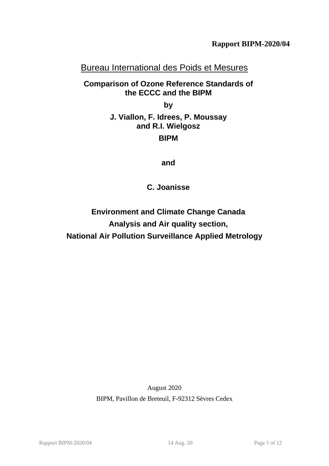# Bureau International des Poids et Mesures

# **Comparison of Ozone Reference Standards of the ECCC and the BIPM**

<span id="page-0-0"></span>**by**

# **J. Viallon, F. Idrees, P. Moussay and R.I. Wielgosz**

# **BIPM**

**and**

**C. Joanisse**

**Environment and Climate Change Canada Analysis and Air quality section, National Air Pollution Surveillance Applied Metrology**

> August 2020 BIPM, Pavillon de Breteuil, F-92312 Sèvres Cedex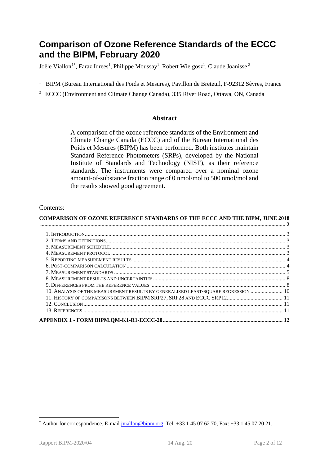# **Comparison of Ozone Reference Standards of the [ECCC](#page-0-0) and the BIPM, February 2020**

Joële Viallon<sup>[1](#page-1-1)\*</sup>, Faraz Idrees<sup>1</sup>, Philippe Moussay<sup>1</sup>, Robert Wielgosz<sup>1</sup>, Claude Joanisse<sup>2</sup>

- <sup>1</sup> BIPM (Bureau International des Poids et Mesures), Pavillon de Breteuil, F-92312 Sèvres, France
- <span id="page-1-0"></span><sup>2</sup> [ECCC](#page-0-0) (Environment and Climate Change Canada), 335 River Road, Ottawa, ON, Canada

#### **Abstract**

A comparison of the ozone reference standards of the [Environment and](#page-1-0)  [Climate Change Canada](#page-1-0) [\(ECCC\)](#page-0-0) and of the Bureau International des Poids et Mesures (BIPM) has been performed. Both institutes maintain Standard Reference Photometers (SRPs), developed by the National Institute of Standards and Technology (NIST), as their reference standards. The instruments were compared over a nominal ozone amount-of-substance fraction range of 0 nmol/mol to 500 nmol/mol and the results showed good agreement.

#### Contents:

| <b>COMPARISON OF OZONE REFERENCE STANDARDS OF THE ECCC AND THE BIPM, JUNE 2018</b> |  |
|------------------------------------------------------------------------------------|--|
|                                                                                    |  |
|                                                                                    |  |
|                                                                                    |  |
|                                                                                    |  |
|                                                                                    |  |
|                                                                                    |  |
|                                                                                    |  |
|                                                                                    |  |
|                                                                                    |  |
|                                                                                    |  |
| 10. ANALYSIS OF THE MEASUREMENT RESULTS BY GENERALIZED LEAST-SQUARE REGRESSION  10 |  |
| 11. HISTORY OF COMPARISONS BETWEEN BIPM SRP27, SRP28 AND ECCC SRP12 11             |  |
|                                                                                    |  |
|                                                                                    |  |
|                                                                                    |  |

<span id="page-1-1"></span><sup>\*</sup> Author for correspondence. E-mail  $\overline{|\text{viallon}\textcircled{bipm.org}}$ , Tel: +33 1 45 07 62 70, Fax: +33 1 45 07 20 21.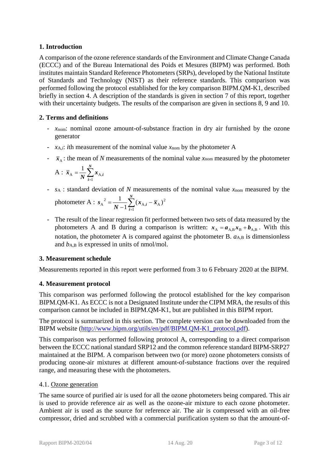### **1. Introduction**

A comparison of the ozone reference standards of th[e Environment and Climate Change Canada](#page-1-0) [\(ECCC\)](#page-0-0) and of the Bureau International des Poids et Mesures (BIPM) was performed. Both institutes maintain Standard Reference Photometers (SRPs), developed by the National Institute of Standards and Technology (NIST) as their reference standards. This comparison was performed following the protocol established for the key comparison BIPM.QM-K1, described briefly in section [4.](#page-2-0) A description of the standards is given in section [7](#page-4-0) of this report, together with their uncertainty budgets. The results of the comparison are given in sections [8,](#page-7-0) [9](#page-7-1) and [10.](#page-9-0)

## **2. Terms and definitions**

- *x*nom: nominal ozone amount-of-substance fraction in dry air furnished by the ozone generator
- *x*<sup>A</sup>*,i*: *i*th measurement of the nominal value *x*nom by the photometer A
- $\bar{x}_A$ : the mean of *N* measurements of the nominal value  $x_{\text{nom}}$  measured by the photometer

$$
A: \overline{x}_A = \frac{1}{N} \sum_{i=1}^N x_{A,i}
$$

- *s*<sup>A</sup> : standard deviation of *N* measurements of the nominal value *x*nom measured by the *N* 1

photometer A : 
$$
s_A^2 = \frac{1}{N-1} \sum_{i=1}^{N} (x_{A,i} - \overline{x}_A)^2
$$

- The result of the linear regression fit performed between two sets of data measured by the photometers A and B during a comparison is written:  $x_A = a_{A,B} x_B + b_{A,B}$ . With this notation, the photometer A is compared against the photometer B.  $a_{A,B}$  is dimensionless and  $b_{A,B}$  is expressed in units of nmol/mol.

#### **3. Measurement schedule**

Measurements reported in this report were performed from 3 to 6 February 2020 at the BIPM.

## <span id="page-2-0"></span>**4. Measurement protocol**

This comparison was performed following the protocol established for the key comparison BIPM.QM-K1. A[s ECCC](#page-0-0) is not a Designated Institute under the CIPM MRA, the results of this comparison cannot be included in BIPM.QM-K1, but are published in this BIPM report.

The protocol is summarized in this section. The complete version can be downloaded from the BIPM website [\(http://www.bipm.org/utils/en/pdf/BIPM.QM-K1\\_protocol.pdf\)](http://www.bipm.org/utils/en/pdf/BIPM.QM-K1_protocol.pdf).

<span id="page-2-1"></span>This comparison was performed following protocol A, corresponding to a direct comparison between the [ECCC](#page-0-0) national standard SRP12 and the common reference standard BIPM-SRP27 maintained at the BIPM. A comparison between two (or more) ozone photometers consists of producing ozone-air mixtures at different amount-of-substance fractions over the required range, and measuring these with the photometers.

#### 4.1. Ozone generation

The same source of purified air is used for all the ozone photometers being compared. This air is used to provide reference air as well as the ozone-air mixture to each ozone photometer. Ambient air is used as the source for reference air. The air is compressed with an oil-free compressor, dried and scrubbed with a commercial purification system so that the amount-of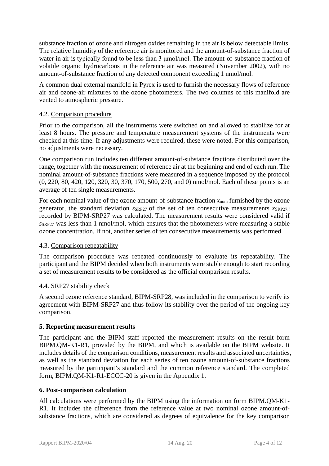substance fraction of ozone and nitrogen oxides remaining in the air is below detectable limits. The relative humidity of the reference air is monitored and the amount-of-substance fraction of water in air is typically found to be less than 3 μmol/mol. The amount-of-substance fraction of volatile organic hydrocarbons in the reference air was measured (November 2002), with no amount-of-substance fraction of any detected component exceeding 1 nmol/mol.

A common dual external manifold in Pyrex is used to furnish the necessary flows of reference air and ozone-air mixtures to the ozone photometers. The two columns of this manifold are vented to atmospheric pressure.

#### 4.2. Comparison procedure

Prior to the comparison, all the instruments were switched on and allowed to stabilize for at least 8 hours. The pressure and temperature measurement systems of the instruments were checked at this time. If any adjustments were required, these were noted. For this comparison, no adjustments were necessary.

One comparison run includes ten different amount-of-substance fractions distributed over the range, together with the measurement of reference air at the beginning and end of each run. The nominal amount-of-substance fractions were measured in a sequence imposed by the protocol (0, 220, 80, 420, 120, 320, 30, 370, 170, 500, 270, and 0) nmol/mol. Each of these points is an average of ten single measurements.

For each nominal value of the ozone amount-of-substance fraction  $x_{nom}$  furnished by the ozone generator, the standard deviation *SSRP27* of the set of ten consecutive measurements *xSRP27,i* recorded by BIPM-SRP27 was calculated. The measurement results were considered valid if *s*SRP27 was less than 1 nmol/mol, which ensures that the photometers were measuring a stable ozone concentration. If not, another series of ten consecutive measurements was performed.

## 4.3. Comparison repeatability

The comparison procedure was repeated continuously to evaluate its repeatability. The participant and the BIPM decided when both instruments were stable enough to start recording a set of measurement results to be considered as the official comparison results.

## 4.4. SRP27 stability check

A second ozone reference standard, BIPM-SRP28, was included in the comparison to verify its agreement with BIPM-SRP27 and thus follow its stability over the period of the ongoing key comparison.

#### **5. Reporting measurement results**

<span id="page-3-0"></span>The participant and the BIPM staff reported the measurement results on the result form BIPM.QM-K1-R1, provided by the BIPM, and which is available on the BIPM website. It includes details of the comparison conditions, measurement results and associated uncertainties, as well as the standard deviation for each series of ten ozone amount-of-substance fractions measured by the participant's standard and the common reference standard. The completed form, BIPM.QM-K1-R1-ECCC-20 is given in the Appendix 1.

#### <span id="page-3-1"></span>**6. Post-comparison calculation**

All calculations were performed by the BIPM using the information on form [BIPM.QM-K1-](#page-3-0) [R1.](#page-3-0) It includes the difference from the reference value at two nominal ozone amount-ofsubstance fractions, which are considered as degrees of equivalence for the key comparison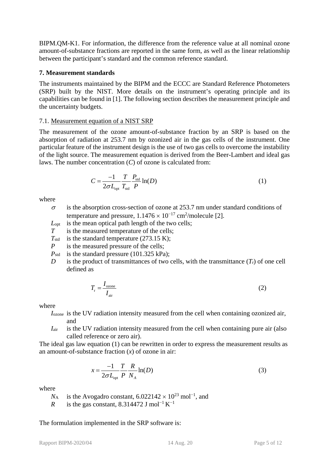BIPM.QM-K1. For information, the difference from the reference value at all nominal ozone amount-of-substance fractions are reported in the same form, as well as the linear relationship between the participant's standard and the common reference standard.

### <span id="page-4-0"></span>**7. Measurement standards**

The instruments maintained by the BIPM and the [ECCC](#page-0-0) are Standard Reference Photometers (SRP) built by the NIST. More details on the instrument's operating principle and its capabilities can be found in [1]. The following section describes the measurement principle and the uncertainty budgets.

#### 7.1. Measurement equation of a NIST SRP

The measurement of the ozone amount-of-substance fraction by an SRP is based on the absorption of radiation at 253.7 nm by ozonized air in the gas cells of the instrument. One particular feature of the instrument design is the use of two gas cells to overcome the instability of the light source. The measurement equation is derived from the Beer-Lambert and ideal gas laws. The number concentration (*C*) of ozone is calculated from:

$$
C = \frac{-1}{2\sigma L_{\text{opt}}} \frac{T}{T_{\text{std}}} \frac{P_{\text{std}}}{P} \ln(D) \tag{1}
$$

where

- $\sigma$  is the absorption cross-section of ozone at 253.7 nm under standard conditions of temperature and pressure,  $1.1476 \times 10^{-17}$  cm<sup>2</sup>/molecule [2].
- *L*<sub>opt</sub> is the mean optical path length of the two cells:
- *T* is the measured temperature of the cells;
- $T_{std}$  is the standard temperature (273.15 K);
- *P* is the measured pressure of the cells;
- *P*<sub>std</sub> is the standard pressure (101.325 kPa);
- *D* is the product of transmittances of two cells, with the transmittance  $(T_r)$  of one cell defined as

$$
T_{\rm r} = \frac{I_{\rm ozone}}{I_{\rm air}}\tag{2}
$$

where

- *I*ozone is the UV radiation intensity measured from the cell when containing ozonized air, and
- *I*<sub>air</sub> is the UV radiation intensity measured from the cell when containing pure air (also called reference or zero air).

The ideal gas law equation (1) can be rewritten in order to express the measurement results as an amount-of-substance fraction (*x*) of ozone in air:

$$
x = \frac{-1}{2\sigma L_{\text{opt}}} \frac{T}{P} \frac{R}{N_A} \ln(D) \tag{3}
$$

where

- $N_A$  is the Avogadro constant, 6.022142 × 10<sup>23</sup> mol<sup>-1</sup>, and
- *R* is the gas constant, 8.314472 J mol<sup>-1</sup> K<sup>-1</sup>

#### The formulation implemented in the SRP software is: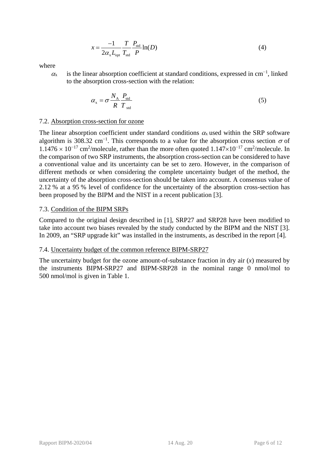$$
x = \frac{-1}{2\alpha_x L_{opt}} \frac{T}{T_{std}} \frac{P_{std}}{P} \ln(D)
$$
 (4)

where

 $\alpha$  is the linear absorption coefficient at standard conditions, expressed in cm<sup>-1</sup>, linked to the absorption cross-section with the relation:

$$
\alpha_{\rm x} = \sigma \frac{N_{\rm A}}{R} \frac{P_{\rm std}}{T_{\rm std}} \tag{5}
$$

#### 7.2. Absorption cross-section for ozone

The linear absorption coefficient under standard conditions  $\alpha_x$  used within the SRP software algorithm is 308.32 cm<sup>-1</sup>. This corresponds to a value for the absorption cross section  $\sigma$  of  $1.1476 \times 10^{-17}$  cm<sup>2</sup>/molecule, rather than the more often quoted  $1.147 \times 10^{-17}$  cm<sup>2</sup>/molecule. In the comparison of two SRP instruments, the absorption cross-section can be considered to have a conventional value and its uncertainty can be set to zero. However, in the comparison of different methods or when considering the complete uncertainty budget of the method, the uncertainty of the absorption cross-section should be taken into account. A consensus value of 2.12 % at a 95 % level of confidence for the uncertainty of the absorption cross-section has been proposed by the BIPM and the NIST in a recent publication [3].

#### 7.3. Condition of the BIPM SRPs

Compared to the original design described in [1], SRP27 and SRP28 have been modified to take into account two biases revealed by the study conducted by the BIPM and the NIST [3]. In 2009, an "SRP upgrade kit" was installed in the instruments, as described in the report [4].

#### 7.4. Uncertainty budget of the common reference BIPM-SRP27

The uncertainty budget for the ozone amount-of-substance fraction in dry air  $(x)$  measured by the instruments BIPM-SRP27 and BIPM-SRP28 in the nominal range 0 nmol/mol to 500 nmol/mol is given in [Table 1.](#page-6-0)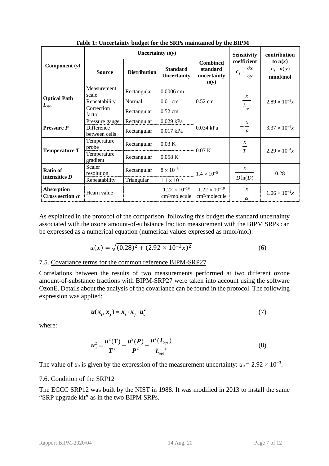<span id="page-6-0"></span>

|                                             | Uncertainty $u(y)$          |                     |                                                     |                                                     | <b>Sensitivity</b>                                   | contribution                                |
|---------------------------------------------|-----------------------------|---------------------|-----------------------------------------------------|-----------------------------------------------------|------------------------------------------------------|---------------------------------------------|
| Component $(y)$                             | <b>Source</b>               | <b>Distribution</b> | <b>Standard</b><br><b>Uncertainty</b>               | <b>Combined</b><br>standard<br>uncertainty<br>u(y)  | coefficient<br>$c_i = \frac{\partial x}{\partial y}$ | to $u(x)$<br>$ c_i  \cdot u(y)$<br>nmol/mol |
|                                             | Measurement<br>scale        | Rectangular         | 0.0006 cm                                           |                                                     |                                                      |                                             |
| <b>Optical Path</b>                         | Repeatability               | Normal              | $0.01$ cm                                           | $0.52$ cm                                           | $\frac{x}{x}$                                        | $2.89 \times 10^{-3}x$                      |
| $L_{\rm opt}$                               | Correction<br>factor        | Rectangular         | $0.52$ cm                                           |                                                     | $L_{\rm opt}$                                        |                                             |
|                                             | Pressure gauge              | Rectangular         | 0.029 kPa                                           |                                                     | $\mathcal{X}$                                        |                                             |
| Pressure P                                  | Difference<br>between cells | Rectangular         | 0.017 kPa                                           | 0.034 kPa                                           | $\boldsymbol{P}$                                     | $3.37 \times 10^{-4}x$                      |
|                                             | Temperature<br>probe        | Rectangular         | 0.03 K                                              | 0.07 K                                              | $\boldsymbol{x}$<br>$\frac{1}{T}$                    | $2.29 \times 10^{-4}x$                      |
| Temperature $T$                             | Temperature<br>gradient     | Rectangular         | 0.058K                                              |                                                     |                                                      |                                             |
| <b>Ratio of</b><br>intensities $D$          | Scaler<br>resolution        | Rectangular         | $8\times10^{-6}$                                    | $1.4 \times 10^{-5}$                                | $\mathcal{X}$                                        | 0.28                                        |
|                                             | Repeatability               | Triangular          | $1.1 \times 10^{-5}$                                |                                                     | $D\ln(D)$                                            |                                             |
| <b>Absorption</b><br>Cross section $\sigma$ | Hearn value                 |                     | $1.22 \times 10^{-19}$<br>cm <sup>2</sup> /molecule | $1.22 \times 10^{-19}$<br>cm <sup>2</sup> /molecule | $\mathcal{X}$<br>$\alpha$                            | $1.06 \times 10^{-2}x$                      |

**Table 1: Uncertainty budget for the SRPs maintained by the BIPM**

As explained in the protocol of the comparison, following this budget the standard uncertainty associated with the ozone amount-of-substance fraction measurement with the BIPM SRPs can be expressed as a numerical equation (numerical values expressed as nmol/mol):

$$
u(x) = \sqrt{(0.28)^2 + (2.92 \times 10^{-3} x)^2}
$$
 (6)

### 7.5. Covariance terms for the common reference BIPM-SRP27

Correlations between the results of two measurements performed at two different ozone amount-of-substance fractions with BIPM-SRP27 were taken into account using the software OzonE. Details about the analysis of the covariance can be found in the protocol. The following expression was applied:

$$
\boldsymbol{u}(\boldsymbol{x}_i, \boldsymbol{x}_j) = \boldsymbol{x}_i \cdot \boldsymbol{x}_j \cdot \boldsymbol{u}_b^2 \tag{7}
$$

where:

$$
u_{\rm b}^2 = \frac{u^2(T)}{T^2} + \frac{u^2(P)}{P^2} + \frac{u^2(L_{\rm opt})}{L_{\rm opt}^2}
$$
 (8)

The value of  $u<sub>b</sub>$  is given by the expression of the measurement uncertainty:  $u<sub>b</sub> = 2.92 \times 10^{-3}$ .

#### 7.6. Condition of the [SRP12](#page-2-1)

The [ECCC](#page-0-0) [SRP12](#page-2-1) was built by the NIST in 1988. It was modified in 2013 to install the same "SRP upgrade kit" as in the two BIPM SRPs.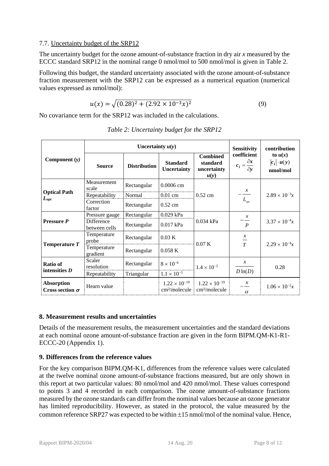#### 7.7. Uncertainty budget of the [SRP12](#page-2-1)

The uncertainty budget for the ozone amount-of-substance fraction in dry air *x* measured by the [ECCC](#page-0-0) standard [SRP12](#page-2-1) in the nominal range 0 nmol/mol to 500 nmol/mol is given in [Table 2.](#page-7-2)

Following this budget, the standard uncertainty associated with the ozone amount-of-substance fraction measurement with the [SRP12](#page-2-1) can be expressed as a numerical equation (numerical values expressed as nmol/mol):

$$
u(x) = \sqrt{(0.28)^2 + (2.92 \times 10^{-3} x)^2}
$$
 (9)

<span id="page-7-2"></span>No covariance term for the [SRP12](#page-2-1) was included in the calculations.

|                                             | Uncertainty $u(y)$          |                     |                                                     |                                                     | <b>Sensitivity</b>                                   | contribution                                |
|---------------------------------------------|-----------------------------|---------------------|-----------------------------------------------------|-----------------------------------------------------|------------------------------------------------------|---------------------------------------------|
| Component $(y)$                             | <b>Source</b>               | <b>Distribution</b> | <b>Standard</b><br><b>Uncertainty</b>               | <b>Combined</b><br>standard<br>uncertainty<br>u(y)  | coefficient<br>$c_i = \frac{\partial x}{\partial y}$ | to $u(x)$<br>$ c_i  \cdot u(y)$<br>nmol/mol |
|                                             | Measurement<br>scale        | Rectangular         | $0.0006$ cm                                         |                                                     |                                                      |                                             |
| <b>Optical Path</b>                         | Repeatability               | Normal              | $0.01$ cm                                           | $0.52$ cm                                           | $\frac{x}{-}$                                        | $2.89 \times 10^{-3}x$                      |
| $L_{opt}$                                   | Correction<br>factor        | Rectangular         | $0.52$ cm                                           | $L_{\text{opt}}$                                    |                                                      |                                             |
|                                             | Pressure gauge              | Rectangular         | 0.029 kPa                                           |                                                     | $\mathcal{X}$                                        |                                             |
| <b>Pressure P</b>                           | Difference<br>between cells | Rectangular         | 0.017 kPa                                           | 0.034 kPa                                           | $\overline{P}$                                       | $3.37 \times 10^{-4}x$                      |
| Temperature T                               | Temperature<br>probe        | Rectangular         | 0.03 K                                              | 0.07K                                               | $\mathcal{X}$<br>$\frac{1}{T}$                       | $2.29 \times 10^{-4}x$                      |
|                                             | Temperature<br>gradient     | Rectangular         | 0.058K                                              |                                                     |                                                      |                                             |
| <b>Ratio of</b><br>intensities $D$          | Scaler<br>resolution        | Rectangular         | $8\times10^{-6}$                                    | $1.4 \times 10^{-5}$                                | $\mathcal{X}$                                        | 0.28                                        |
|                                             | Repeatability               | Triangular          | $1.1 \times 10^{-5}$                                |                                                     | $D\ln(D)$                                            |                                             |
| <b>Absorption</b><br>Cross section $\sigma$ | Hearn value                 |                     | $1.22 \times 10^{-19}$<br>cm <sup>2</sup> /molecule | $1.22 \times 10^{-19}$<br>cm <sup>2</sup> /molecule | $\mathcal{X}$<br>$\alpha$                            | $1.06 \times 10^{-2}x$                      |

*Table 2: Uncertainty budget for the [SRP12](#page-2-1)*

## <span id="page-7-0"></span>**8. Measurement results and uncertainties**

Details of the measurement results, the measurement uncertainties and the standard deviations at each nominal ozone amount-of-substance fraction are given in the form [BIPM.QM-K1-R1-](#page-3-1) [ECCC-20](#page-3-1) (Appendix 1).

## <span id="page-7-1"></span>**9. Differences from the reference values**

For the key comparison BIPM.QM-K1, differences from the reference values were calculated at the twelve nominal ozone amount-of-substance fractions measured, but are only shown in this report at two particular values: 80 nmol/mol and 420 nmol/mol. These values correspond to points 3 and 4 recorded in each comparison. The ozone amount-of-substance fractions measured by the ozone standards can differ from the nominal values because an ozone generator has limited reproducibility. However, as stated in the protocol, the value measured by the common reference SRP27 was expected to be within ±15 nmol/mol of the nominal value. Hence,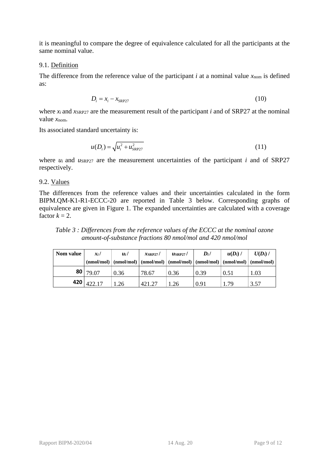it is meaningful to compare the degree of equivalence calculated for all the participants at the same nominal value.

#### 9.1. Definition

The difference from the reference value of the participant  $i$  at a nominal value  $x_{\text{nom}}$  is defined as:

$$
D_i = x_i - x_{\text{SRP27}} \tag{10}
$$

where  $x_i$  and  $x_{SRP27}$  are the measurement result of the participant *i* and of SRP27 at the nominal value *x*nom.

Its associated standard uncertainty is:

$$
u(D_i) = \sqrt{u_i^2 + u_{SRP27}^2}
$$
 (11)

where *u<sub>i</sub>* and *u*SRP27 are the measurement uncertainties of the participant *i* and of SRP27 respectively.

#### 9.2. Values

The differences from the reference values and their uncertainties calculated in the form [BIPM.QM-K1-R1-ECCC-20](#page-3-1) are reported in [Table 3](#page-8-0) below. Corresponding graphs of equivalence are given in [Figure 1.](#page-9-1) The expanded uncertainties are calculated with a coverage factor  $k = 2$ .

<span id="page-8-0"></span>*Table 3 : Differences from the reference values of the [ECCC](#page-0-0) at the nominal ozone amount-of-substance fractions 80 nmol/mol and 420 nmol/mol*

| Nom value | $x_i$          | $u_i/$ | $x$ SRP27/ | $\mu$ SRP27/ | $\mathbf{D}_i$ /<br>$\pmod{mod}$ $\pmod{mod}$ $\pmod{modmod}$ $\pmod{modmod}$ $\pmod{mod}$ $\pmod{mod}$ $\pmod{mod}$ | $u(D_i)$ / | $U(D_i)$ / |
|-----------|----------------|--------|------------|--------------|----------------------------------------------------------------------------------------------------------------------|------------|------------|
|           | 80 79.07       | 0.36   | 78.67      | 0.36         | 0.39                                                                                                                 | 0.51       | 1.03       |
|           | 420   $422.17$ | 1.26   | 421.27     | 1.26         | 0.91                                                                                                                 | 179        | 3.57       |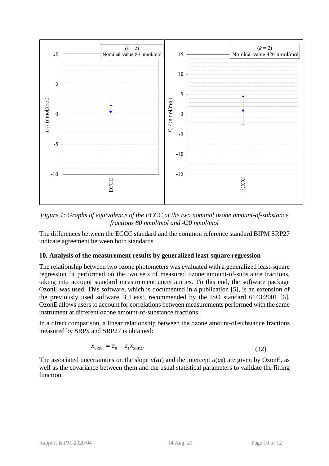

<span id="page-9-1"></span>*Figure 1: Graphs of equivalence of the [ECCC](#page-0-0) at the two nominal ozone amount-of-substance fractions 80 nmol/mol and 420 nmol/mol* 

The differences between the [ECCC](#page-0-0) standard and the common reference standard BIPM SRP27 indicate agreement between both standards.

#### <span id="page-9-0"></span>**10. Analysis of the measurement results by generalized least-square regression**

The relationship between two ozone photometers was evaluated with a generalized least-square regression fit performed on the two sets of measured ozone amount-of-substance fractions, taking into account standard measurement uncertainties. To this end, the software package OzonE was used. This software, which is documented in a publication [5], is an extension of the previously used software B\_Least, recommended by the ISO standard 6143:2001 [6]. OzonE allows users to account for correlations between measurements performed with the same instrument at different ozone amount-of-substance fractions.

In a direct comparison, a linear relationship between the ozone amount-of-substance fractions measured by SRP*n* and SRP27 is obtained:

$$
x_{\text{SRP}_n} = a_0 + a_1 x_{\text{SRP27}} \tag{12}
$$

The associated uncertainties on the slope  $u(a_1)$  and the intercept  $u(a_0)$  are given by OzonE, as well as the covariance between them and the usual statistical parameters to validate the fitting function.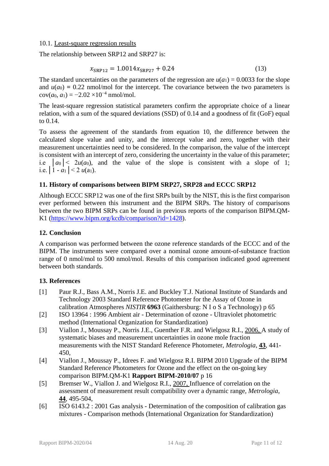#### 10.1. Least-square regression results

The relationship between [SRP12](#page-2-1) and SRP27 is:

$$
x_{\rm SRP12} = 1.0014x_{\rm SRP27} + 0.24\tag{13}
$$

The standard uncertainties on the parameters of the regression are  $u(a_1) = 0.0033$  for the slope and  $u(a_0) = 0.22$  nmol/mol for the intercept. The covariance between the two parameters is  $cov(a_0, a_1) = -2.02 \times 10^{-4}$  nmol/mol.

The least-square regression statistical parameters confirm the appropriate choice of a linear relation, with a sum of the squared deviations (SSD) of 0.14 and a goodness of fit (GoF) equal to 0.14.

To assess the agreement of the standards from equation 10, the difference between the calculated slope value and unity, and the intercept value and zero, together with their measurement uncertainties need to be considered. In the comparison, the value of the intercept is consistent with an intercept of zero, considering the uncertainty in the value of this parameter; i.e  $|a_0| < 2u(a_0)$ , and the value of the slope is consistent with a slope of 1; i.e.  $|1 - a_1| < 2 u(a_1)$ .

## **11. History of comparisons between BIPM SRP27, SRP28 and [ECCC](#page-0-0) [SRP12](#page-2-1)**

Although [ECCC](#page-0-0) [SRP12](#page-2-1) was one of the first SRPs built by the NIST, this is the first comparison ever performed between this instrument and the BIPM SRPs. The history of comparisons between the two BIPM SRPs can be found in previous reports of the comparison BIPM.QM-K1 [\(https://www.bipm.org/kcdb/comparison?id=1428\)](https://www.bipm.org/kcdb/comparison?id=1428).

## **12. Conclusion**

A comparison was performed between the ozone reference standards of the [ECCC](#page-0-0) and of the BIPM. The instruments were compared over a nominal ozone amount-of-substance fraction range of 0 nmol/mol to 500 nmol/mol. Results of this comparison indicated good agreement between both standards.

## **13. References**

- [1] Paur R.J., Bass A.M., Norris J.E. and Buckley T.J. National Institute of Standards and Technology 2003 Standard Reference Photometer for the Assay of Ozone in calibration Atmospheres *NISTIR* **6963** (Gaithersburg: N I o S a Technology) p 65
- [2] ISO 13964 : 1996 Ambient air Determination of ozone Ultraviolet photometric method (International Organization for Standardization)
- [3] Viallon J., Moussay P., Norris J.E., Guenther F.R. and Wielgosz R.I., 2006, A study of systematic biases and measurement uncertainties in ozone mole fraction measurements with the NIST Standard Reference Photometer, *Metrologia*, **43**, 441- 450,
- [4] Viallon J., Moussay P., Idrees F. and Wielgosz R.I. BIPM 2010 Upgrade of the BIPM Standard Reference Photometers for Ozone and the effect on the on-going key comparison BIPM.QM-K1 **Rapport BIPM-2010/07** p 16
- [5] Bremser W., Viallon J. and Wielgosz R.I., 2007, Influence of correlation on the assessment of measurement result compatibility over a dynamic range, *Metrologia*, **44**, 495-504,
- [6] ISO 6143.2 : 2001 Gas analysis Determination of the composition of calibration gas mixtures - Comparison methods (International Organization for Standardization)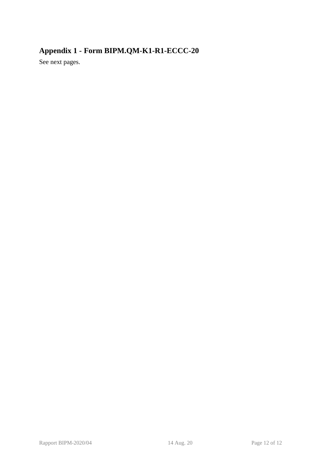# **Appendix 1 - Form [BIPM.QM-K1-R1-ECCC-20](#page-3-1)**

See next pages.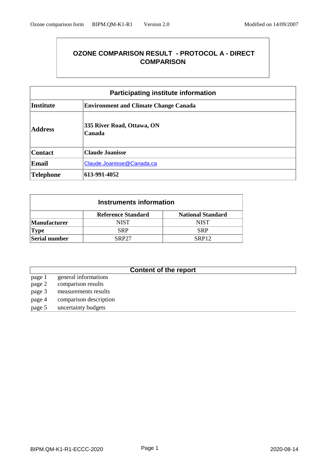## **OZONE COMPARISON RESULT - PROTOCOL A - DIRECT COMPARISON**

| <b>Participating institute information</b>             |                                              |  |  |  |  |
|--------------------------------------------------------|----------------------------------------------|--|--|--|--|
| <b>Institute</b>                                       | <b>Environment and Climate Change Canada</b> |  |  |  |  |
| 335 River Road, Ottawa, ON<br><b>Address</b><br>Canada |                                              |  |  |  |  |
| <b>Contact</b>                                         | <b>Claude Joanisse</b>                       |  |  |  |  |
| <b>Email</b>                                           | Claude.Joanisse@Canada.ca                    |  |  |  |  |
| Telephone                                              | 613-991-4052                                 |  |  |  |  |

| Instruments information |                                                       |                   |  |  |  |  |  |
|-------------------------|-------------------------------------------------------|-------------------|--|--|--|--|--|
|                         | <b>Reference Standard</b><br><b>National Standard</b> |                   |  |  |  |  |  |
| <b>Manufacturer</b>     | <b>NIST</b>                                           | <b>NIST</b>       |  |  |  |  |  |
| <b>Type</b>             | <b>SRP</b>                                            | <b>SRP</b>        |  |  |  |  |  |
| Serial number           | <b>SRP27</b>                                          | SRP <sub>12</sub> |  |  |  |  |  |

## **Content of the report**

page 1 general informations<br>page 2 comparison results comparison results page 3 measurements results page 4 comparison description page 5 uncertainty budgets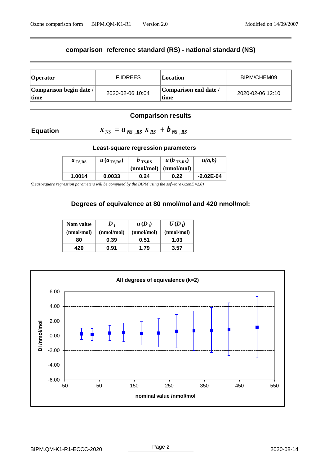## **comparison reference standard (RS) - national standard (NS)**

| Operator                         | <b>F.IDREES</b>  | Location                      | BIPM/CHEM09      |
|----------------------------------|------------------|-------------------------------|------------------|
| Comparison begin date /<br>∣time | 2020-02-06 10:04 | Comparison end date /<br>time | 2020-02-06 12:10 |

## **Comparison results**

## **Equation**

 $x_{\text{NS}} = a_{\text{NS}}$ ,  $R_s x_{\text{RS}} + b_{\text{NS}}$ ,  $R_s$ 

#### **Least-square regression parameters**

| $a_{\text{TS,RS}}$ | $u$ (a <sub>TS,RS</sub> ) | $b_{\text{TS,RS}}$ | $u(b_{\text{TS,RS}})$<br>$(nmol/mol)$ $(nmol/mol)$ | u(a,b)        |
|--------------------|---------------------------|--------------------|----------------------------------------------------|---------------|
| 1.0014             | 0.0033                    | 0.24               | 0.22                                               | $-2.02E - 04$ |

*(Least-square regression parameters will be computed by the BIPM using the sofwtare OzonE v2.0)*

### **Degrees of equivalence at 80 nmol/mol and 420 nmol/mol:**

| Nom value  | $\boldsymbol{D}_i$ | $u(D_i)$   | $U(D_i)$   |
|------------|--------------------|------------|------------|
| (nmol/mol) | (nmol/mol)         | (nmol/mol) | (nmol/mol) |
| 80         | 0.39               | 0.51       | 1.03       |
| 420        | 0.91               | 1.79       | 3.57       |

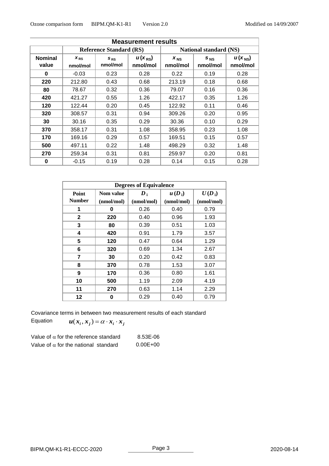| <b>Measurement results</b> |                                |                      |                         |                      |                        |                                |
|----------------------------|--------------------------------|----------------------|-------------------------|----------------------|------------------------|--------------------------------|
|                            | <b>Reference Standard (RS)</b> |                      |                         |                      | National standard (NS) |                                |
| <b>Nominal</b><br>value    | $X_{RS}$<br>nmol/mol           | $S_{RS}$<br>nmol/mol | $u(x_{RS})$<br>nmol/mol | $x_{NS}$<br>nmol/mol | $S_{NS}$<br>nmol/mol   | $u(x_{\text{NS}})$<br>nmol/mol |
| $\bf{0}$                   | $-0.03$                        | 0.23                 | 0.28                    | 0.22                 | 0.19                   | 0.28                           |
| 220                        | 212.80                         | 0.43                 | 0.68                    | 213.19               | 0.18                   | 0.68                           |
| 80                         | 78.67                          | 0.32                 | 0.36                    | 79.07                | 0.16                   | 0.36                           |
| 420                        | 421.27                         | 0.55                 | 1.26                    | 422.17               | 0.35                   | 1.26                           |
| 120                        | 122.44                         | 0.20                 | 0.45                    | 122.92               | 0.11                   | 0.46                           |
| 320                        | 308.57                         | 0.31                 | 0.94                    | 309.26               | 0.20                   | 0.95                           |
| 30                         | 30.16                          | 0.35                 | 0.29                    | 30.36                | 0.10                   | 0.29                           |
| 370                        | 358.17                         | 0.31                 | 1.08                    | 358.95               | 0.23                   | 1.08                           |
| 170                        | 169.16                         | 0.29                 | 0.57                    | 169.51               | 0.15                   | 0.57                           |
| 500                        | 497.11                         | 0.22                 | 1.48                    | 498.29               | 0.32                   | 1.48                           |
| 270                        | 259.34                         | 0.31                 | 0.81                    | 259.97               | 0.20                   | 0.81                           |
| 0                          | $-0.15$                        | 0.19                 | 0.28                    | 0.14                 | 0.15                   | 0.28                           |

| <b>Degrees of Equivalence</b> |            |                    |            |            |  |  |
|-------------------------------|------------|--------------------|------------|------------|--|--|
| Point                         | Nom value  | $\boldsymbol{D}_1$ | $u(D_i)$   | $U(D_i)$   |  |  |
| <b>Number</b>                 | (nmol/mol) | (nmol/mol)         | (nmol/mol) | (nmol/mol) |  |  |
| 1                             | 0          | 0.26               | 0.40       | 0.79       |  |  |
| $\mathbf{2}$                  | 220        | 0.40               | 0.96       | 1.93       |  |  |
| 3                             | 80         | 0.39               | 0.51       | 1.03       |  |  |
| 4                             | 420        | 0.91               | 1.79       | 3.57       |  |  |
| 5                             | 120        | 0.47               | 0.64       | 1.29       |  |  |
| 6                             | 320        | 0.69               | 1.34       | 2.67       |  |  |
| 7                             | 30         | 0.20               | 0.42       | 0.83       |  |  |
| 8                             | 370        | 0.78               | 1.53       | 3.07       |  |  |
| 9                             | 170        | 0.36               | 0.80       | 1.61       |  |  |
| 10                            | 500        | 1.19               | 2.09       | 4.19       |  |  |
| 11                            | 270        | 0.63               | 1.14       | 2.29       |  |  |
| 12                            | 0          | 0.29               | 0.40       | 0.79       |  |  |

Covariance terms in between two measurement results of each standard

Equation  $u(x_i, x_j) = \alpha \cdot x_i \cdot x_j$ 

| Value of $\alpha$ for the reference standard | 8.53E-06     |
|----------------------------------------------|--------------|
| Value of $\alpha$ for the national standard  | $0.00E + 00$ |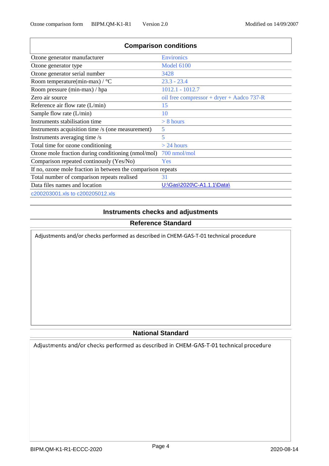| <b>Comparison conditions</b>                                 |                                           |
|--------------------------------------------------------------|-------------------------------------------|
| Ozone generator manufacturer                                 | <b>Environics</b>                         |
| Ozone generator type                                         | <b>Model 6100</b>                         |
| Ozone generator serial number                                | 3428                                      |
| Room temperature(min-max) / $\rm{^{\circ}C}$                 | $23.3 - 23.4$                             |
| Room pressure (min-max) / hpa                                | $1012.1 - 1012.7$                         |
| Zero air source                                              | oil free compressor + dryer + Aadco 737-R |
| Reference air flow rate $(L/min)$                            | 15                                        |
| Sample flow rate $(L/min)$                                   | 10                                        |
| Instruments stabilisation time                               | $> 8$ hours                               |
| Instruments acquisition time /s (one measurement)            | 5                                         |
| Instruments averaging time /s                                | 5                                         |
| Total time for ozone conditioning                            | $>$ 24 hours                              |
| Ozone mole fraction during conditioning (nmol/mol)           | 700 nmol/mol                              |
| Comparison repeated continualy (Yes/No)                      | Yes                                       |
| If no, ozone mole fraction in between the comparison repeats |                                           |
| Total number of comparison repeats realised                  | 31                                        |
| Data files names and location                                | U:\Gas\2020\C-A1.1.1\Data\                |
| c200203001.xls to c200205012.xls                             |                                           |

## **Instruments checks and adjustments**

## **Reference Standard**

Adjustments and/or checks performed as described in CHEM-GAS-T-01 technical procedure

## **National Standard**

Adjustments and/or checks performed as described in CHEM-GAS-T-01 technical procedure